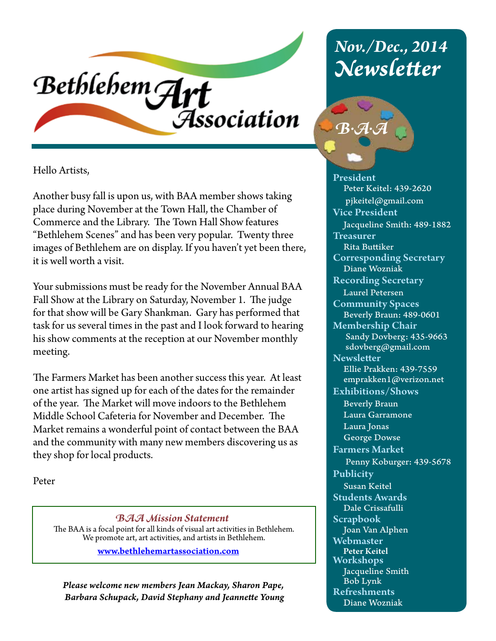

Hello Artists,

Another busy fall is upon us, with BAA member shows taking place during November at the Town Hall, the Chamber of Commerce and the Library. The Town Hall Show features "Bethlehem Scenes" and has been very popular. Twenty three images of Bethlehem are on display. If you haven't yet been there, it is well worth a visit.

Your submissions must be ready for the November Annual BAA Fall Show at the Library on Saturday, November 1. The judge for that show will be Gary Shankman. Gary has performed that task for us several times in the past and I look forward to hearing his show comments at the reception at our November monthly meeting.

The Farmers Market has been another success this year. At least one artist has signed up for each of the dates for the remainder of the year. The Market will move indoors to the Bethlehem Middle School Cafeteria for November and December. The Market remains a wonderful point of contact between the BAA and the community with many new members discovering us as they shop for local products.

Peter

*BAA Mission Statement* The BAA is a focal point for all kinds of visual art activities in Bethlehem. We promote art, art activities, and artists in Bethlehem.

www.bethlehemartassociation.com

*Please welcome new members Jean Mackay, Sharon Pape, Barbara Schupack, David Stephany and Jeannette Young*

# *Nov./Dec., 2014 Newsletter*



President Peter Keitel: 439-2620 pjkeitel@gmail.com Vice President Jacqueline Smith: 489-1882 **Treasurer**  Rita Buttiker Corresponding Secretary Diane Wozniak Recording Secretary Laurel Petersen Community Spaces Beverly Braun: 489-0601 Membership Chair Sandy Dovberg: 435-9663 sdovberg@gmail.com **Newsletter**  Ellie Prakken: 439-7559 emprakken1@verizon.net Exhibitions/Shows Beverly Braun Laura Garramone Laura Jonas George Dowse Farmers Market Penny Koburger: 439-5678 Publicity Susan Keitel Students Awards Dale Crissafulli Scrapbook Joan Van Alphen Webmaster Peter Keitel Workshops Jacqueline Smith Bob Lynk Refreshments Diane Wozniak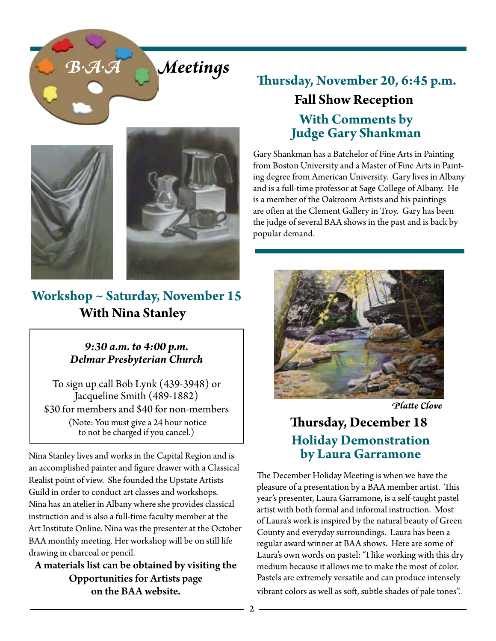# *B.A.A Meetings*





# **Workshop ~ Saturday, November 15 With Nina Stanley**

### *9:30 a.m. to 4:00 p.m. Delmar Presbyterian Church*

To sign up call Bob Lynk (439-3948) or Jacqueline Smith (489-1882) \$30 for members and \$40 for non-members (Note: You must give a 24 hour notice to not be charged if you cancel.)

Nina Stanley lives and works in the Capital Region and is an accomplished painter and figure drawer with a Classical Realist point of view. She founded the Upstate Artists Guild in order to conduct art classes and workshops. Nina has an atelier in Albany where she provides classical instruction and is also a full-time faculty member at the Art Institute Online. Nina was the presenter at the October BAA monthly meeting. Her workshop will be on still life drawing in charcoal or pencil.

A materials list can be obtained by visiting the Opportunities for Artists page on the BAA website.

# **Thursday, November 20, 6:45 p.m. Fall Show Reception With Comments by Judge Gary Shankman**

Gary Shankman has a Batchelor of Fine Arts in Painting from Boston University and a Master of Fine Arts in Painting degree from American University. Gary lives in Albany and is a full-time professor at Sage College of Albany. He is a member of the Oakroom Artists and his paintings are often at the Clement Gallery in Troy. Gary has been the judge of several BAA shows in the past and is back by popular demand.



**Thursday, December 18 Holiday Demonstration by Laura Garramone** *Platte Clove*

The December Holiday Meeting is when we have the pleasure of a presentation by a BAA member artist. This year's presenter, Laura Garramone, is a self-taught pastel artist with both formal and informal instruction. Most of Laura's work is inspired by the natural beauty of Green County and everyday surroundings. Laura has been a regular award winner at BAA shows. Here are some of Laura's own words on pastel: "I like working with this dry medium because it allows me to make the most of color. Pastels are extremely versatile and can produce intensely vibrant colors as well as soft, subtle shades of pale tones".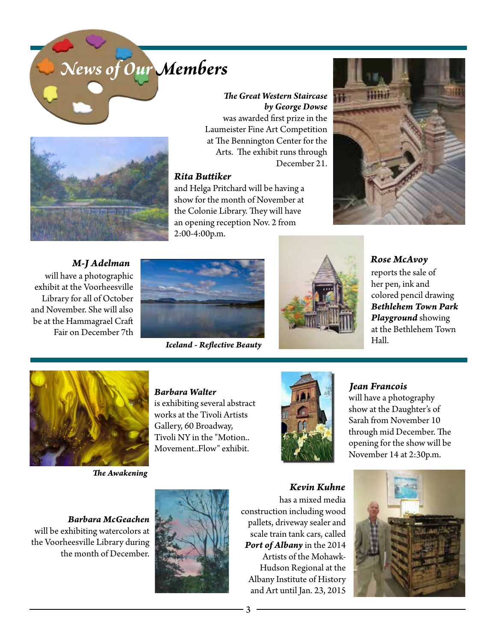



#### *The Great Western Staircase by George Dowse*

was awarded first prize in the Laumeister Fine Art Competition at The Bennington Center for the Arts. The exhibit runs through December 21.

#### *Rita Buttiker*

and Helga Pritchard will be having a show for the month of November at the Colonie Library. They will have an opening reception Nov. 2 from 2:00-4:00p.m.



*M-J Adelman* will have a photographic exhibit at the Voorheesville Library for all of October and November. She will also be at the Hammagrael Craft Fair on December 7th



Hall. *Iceland - Reflective Beauty*



*Rose McAvoy* reports the sale of her pen, ink and colored pencil drawing *Bethlehem Town Park Playground* showing at the Bethlehem Town



*The Awakening*

#### *Barbara Walter*

is exhibiting several abstract works at the Tivoli Artists Gallery, 60 Broadway, Tivoli NY in the "Motion.. Movement..Flow" exhibit.



#### *Jean Francois*

will have a photography show at the Daughter's of Sarah from November 10 through mid December. The opening for the show will be November 14 at 2:30p.m.

*Barbara McGeachen* will be exhibiting watercolors at the Voorheesville Library during the month of December.



*Kevin Kuhne* has a mixed media construction including wood pallets, driveway sealer and scale train tank cars, called *Port of Albany* in the 2014 Artists of the Mohawk-Hudson Regional at the Albany Institute of History and Art until Jan. 23, 2015

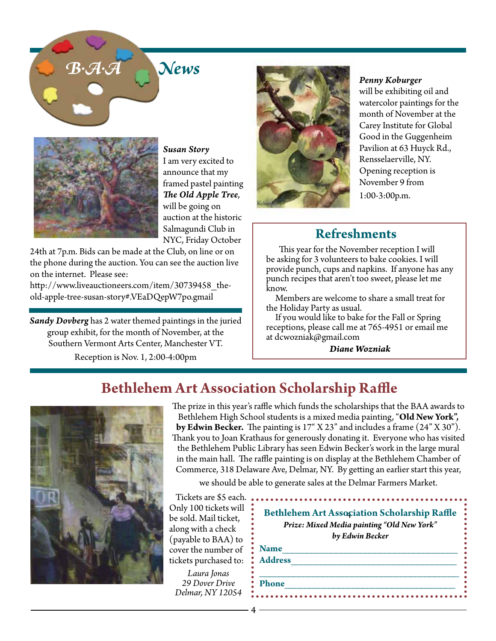



*Susan Story* I am very excited to announce that my framed pastel painting *The Old Apple Tree*, will be going on auction at the historic Salmagundi Club in NYC, Friday October

24th at 7p.m. Bids can be made at the Club, on line or on the phone during the auction. You can see the auction live on the internet. Please see:

http://www.liveauctioneers.com/item/30739458\_theold-apple-tree-susan-story#.VEaDQepW7po.gmail

*Sandy Dovberg* has 2 water themed paintings in the juried group exhibit, for the month of November, at the Southern Vermont Arts Center, Manchester VT. Reception is Nov. 1, 2:00-4:00pm



*Penny Koburger*

will be exhibiting oil and watercolor paintings for the month of November at the Carey Institute for Global Good in the Guggenheim Pavilion at 63 Huyck Rd., Rensselaerville, NY. Opening reception is November 9 from 1:00-3:00p.m.

## **Refreshments**

 This year for the November reception I will be asking for 3 volunteers to bake cookies. I will provide punch, cups and napkins. If anyone has any punch recipes that aren't too sweet, please let me know.

 Members are welcome to share a small treat for the Holiday Party as usual.

 If you would like to bake for the Fall or Spring receptions, please call me at 765-4951 or email me at dcwozniak@gmail.com

*Diane Wozniak*

# **Bethlehem Art Association Scholarship Raffle**



The prize in this year's raffle which funds the scholarships that the BAA awards to Bethlehem High School students is a mixed media painting, "**Old New York", by Edwin Becker.** The painting is 17" X 23" and includes a frame (24" X 30"). Thank you to Joan Krathaus for generously donating it. Everyone who has visited the Bethlehem Public Library has seen Edwin Becker's work in the large mural in the main hall. The raffle painting is on display at the Bethlehem Chamber of Commerce, 318 Delaware Ave, Delmar, NY. By getting an earlier start this year,

we should be able to generate sales at the Delmar Farmers Market.

Tickets are \$5 each. Only 100 tickets will be sold. Mail ticket, along with a check (payable to BAA) to cover the number of tickets purchased to:

*Laura Jonas 29 Dover Drive Delmar, NY 12054*

|                | <b>Bethlehem Art Association Scholarship Raffle</b><br>Prize: Mixed Media painting "Old New York" |
|----------------|---------------------------------------------------------------------------------------------------|
|                | by Edwin Becker                                                                                   |
| <b>Name</b>    |                                                                                                   |
| <b>Address</b> |                                                                                                   |
| <b>Phone</b>   |                                                                                                   |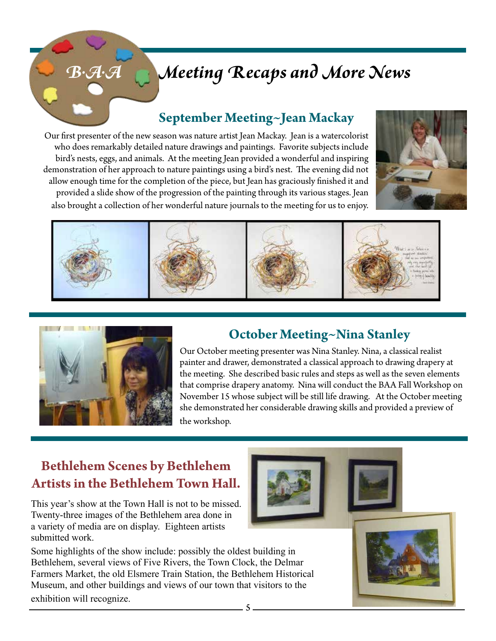# *B.A.A Meeting Recaps and More News*

# **September Meeting~Jean Mackay**

Our first presenter of the new season was nature artist Jean Mackay. Jean is a watercolorist who does remarkably detailed nature drawings and paintings. Favorite subjects include bird's nests, eggs, and animals. At the meeting Jean provided a wonderful and inspiring demonstration of her approach to nature paintings using a bird's nest. The evening did not allow enough time for the completion of the piece, but Jean has graciously finished it and provided a slide show of the progression of the painting through its various stages. Jean also brought a collection of her wonderful nature journals to the meeting for us to enjoy.







# **October Meeting~Nina Stanley**

Our October meeting presenter was Nina Stanley. Nina, a classical realist painter and drawer, demonstrated a classical approach to drawing drapery at the meeting. She described basic rules and steps as well as the seven elements that comprise drapery anatomy. Nina will conduct the BAA Fall Workshop on November 15 whose subject will be still life drawing. At the October meeting she demonstrated her considerable drawing skills and provided a preview of the workshop.

## **Bethlehem Scenes by Bethlehem Artists in the Bethlehem Town Hall.**

This year's show at the Town Hall is not to be missed. Twenty-three images of the Bethlehem area done in a variety of media are on display. Eighteen artists submitted work.

Some highlights of the show include: possibly the oldest building in Bethlehem, several views of Five Rivers, the Town Clock, the Delmar Farmers Market, the old Elsmere Train Station, the Bethlehem Historical Museum, and other buildings and views of our town that visitors to the exhibition will recognize.





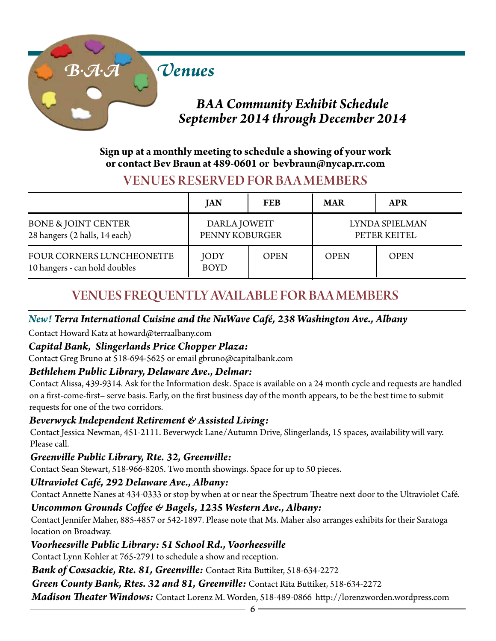

## *BAA Community Exhibit Schedule September 2014 through December 2014*

#### **Sign up at a monthly meeting to schedule a showing of your work or contact Bev Braun at 489-0601 or bevbraun@nycap.rr.com**

## VENUES RESERVED FOR BA A MEMBERS

|                                                                 | JAN                            | <b>FEB</b>  | <b>MAR</b>  | <b>APR</b>                     |
|-----------------------------------------------------------------|--------------------------------|-------------|-------------|--------------------------------|
| <b>BONE &amp; JOINT CENTER</b><br>28 hangers (2 halls, 14 each) | DARLA JOWETT<br>PENNY KOBURGER |             |             | LYNDA SPIELMAN<br>PETER KEITEL |
| FOUR CORNERS LUNCHEONETTE<br>10 hangers - can hold doubles      | <b>JODY</b><br><b>BOYD</b>     | <b>OPEN</b> | <b>OPEN</b> | <b>OPEN</b>                    |

## VENUES FREQUENTLY AVAILABLE FOR BAA MEMBERS

#### *New! Terra International Cuisine and the NuWave Café, 238 Washington Ave., Albany*

Contact Howard Katz at howard@terraalbany.com

### *Capital Bank, Slingerlands Price Chopper Plaza:*

Contact Greg Bruno at 518-694-5625 or email gbruno@capitalbank.com

### *Bethlehem Public Library, Delaware Ave., Delmar:*

Contact Alissa, 439-9314. Ask for the Information desk. Space is available on a 24 month cycle and requests are handled on a first-come-first– serve basis. Early, on the first business day of the month appears, to be the best time to submit requests for one of the two corridors.

### *Beverwyck Independent Retirement & Assisted Living:*

Contact Jessica Newman, 451-2111. Beverwyck Lane/Autumn Drive, Slingerlands, 15 spaces, availability will vary. Please call.

### *Greenville Public Library, Rte. 32, Greenville:*

Contact Sean Stewart, 518-966-8205. Two month showings. Space for up to 50 pieces.

#### *Ultraviolet Café, 292 Delaware Ave., Albany:*

Contact Annette Nanes at 434-0333 or stop by when at or near the Spectrum Theatre next door to the Ultraviolet Café.

### *Uncommon Grounds Coffee & Bagels, 1235 Western Ave., Albany:*

Contact Jennifer Maher, 885-4857 or 542-1897. Please note that Ms. Maher also arranges exhibits for their Saratoga location on Broadway.

### *Voorheesville Public Library: 51 School Rd., Voorheesville*

Contact Lynn Kohler at 765-2791 to schedule a show and reception.

*Bank of Coxsackie, Rte. 81, Greenville:* Contact Rita Buttiker, 518-634-2272

*Green County Bank, Rtes. 32 and 81, Greenville:* Contact Rita Buttiker, 518-634-2272

*Madison Theater Windows:* Contact Lorenz M. Worden, 518-489-0866 http://lorenzworden.wordpress.com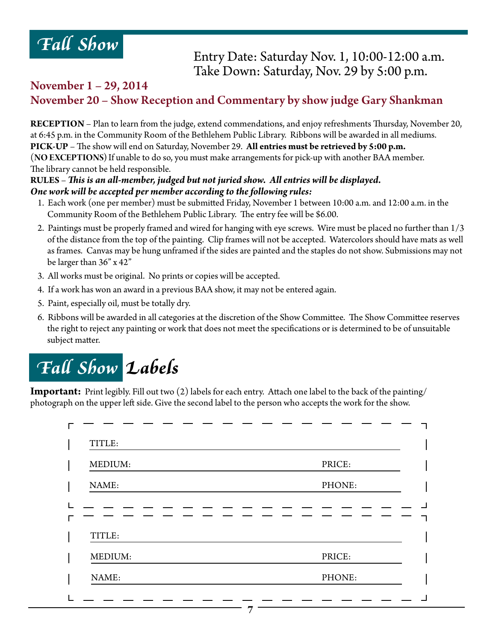

### Entry Date: Saturday Nov. 1, 10:00-12:00 a.m. Take Down: Saturday, Nov. 29 by 5:00 p.m.

### November 1 – 29, 2014 November 20 – Show Reception and Commentary by show judge Gary Shankman

**RECEPTION** – Plan to learn from the judge, extend commendations, and enjoy refreshments Thursday, November 20, at 6:45 p.m. in the Community Room of the Bethlehem Public Library. Ribbons will be awarded in all mediums. **PICK-UP** – The show will end on Saturday, November 29. **All entries must be retrieved by 5:00 p.m.**  (**NO EXCEPTIONS)** If unable to do so, you must make arrangements for pick-up with another BAA member. The library cannot be held responsible.

#### **RULES** – *This is an all-member, judged but not juried show. All entries will be displayed. One work will be accepted per member according to the following rules:*

- 1. Each work (one per member) must be submitted Friday, November 1 between 10:00 a.m. and 12:00 a.m. in the Community Room of the Bethlehem Public Library. The entry fee will be \$6.00.
- 2. Paintings must be properly framed and wired for hanging with eye screws. Wire must be placed no further than 1/3 of the distance from the top of the painting. Clip frames will not be accepted. Watercolors should have mats as well as frames. Canvas may be hung unframed if the sides are painted and the staples do not show. Submissions may not be larger than 36" x 42"
- 3. All works must be original. No prints or copies will be accepted.
- 4. If a work has won an award in a previous BAA show, it may not be entered again.
- 5. Paint, especially oil, must be totally dry.
- 6. Ribbons will be awarded in all categories at the discretion of the Show Committee. The Show Committee reserves the right to reject any painting or work that does not meet the specifications or is determined to be of unsuitable subject matter.

# *Fall Show Labels*

**Important:** Print legibly. Fill out two (2) labels for each entry. Attach one label to the back of the painting/ photograph on the upper left side. Give the second label to the person who accepts the work for the show.

| MEDIUM:           | PRICE: |
|-------------------|--------|
| NAME:             | PHONE: |
|                   |        |
|                   |        |
|                   |        |
| TITLE:<br>MEDIUM: | PRICE: |